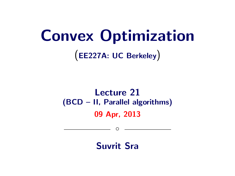# Convex Optimization

(EE227A: UC Berkeley)

# Lecture 21 (BCD – II, Parallel algorithms) 09 Apr, 2013

Suvrit Sra

 $\circ$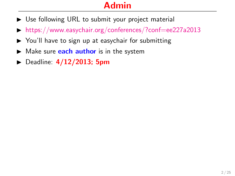- $\triangleright$  Use following URL to submit your project material
- $\triangleright$  <https://www.easychair.org/conferences/?conf=ee227a2013>
- $\triangleright$  You'll have to sign up at easychair for submitting
- $\blacktriangleright$  Make sure **each author** is in the system
- $\triangleright$  Deadline:  $4/12/2013$ ; 5pm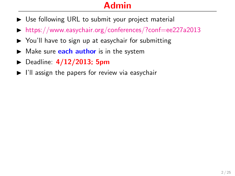- $\triangleright$  Use following URL to submit your project material
- $\triangleright$  <https://www.easychair.org/conferences/?conf=ee227a2013>
- $\triangleright$  You'll have to sign up at easychair for submitting
- $\blacktriangleright$  Make sure **each author** is in the system
- $\triangleright$  Deadline:  $4/12/2013$ ; 5pm
- $\blacktriangleright$  I'll assign the papers for review via easychair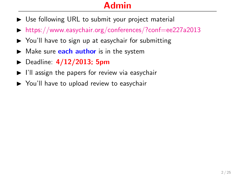- $\triangleright$  Use following URL to submit your project material
- $\triangleright$  <https://www.easychair.org/conferences/?conf=ee227a2013>
- $\triangleright$  You'll have to sign up at easychair for submitting
- $\blacktriangleright$  Make sure **each author** is in the system
- $\triangleright$  Deadline:  $4/12/2013$ ; 5pm
- $\blacktriangleright$  I'll assign the papers for review via easychair
- $\triangleright$  You'll have to upload review to easychair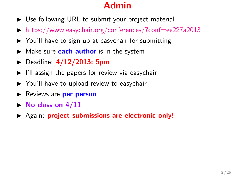- $\triangleright$  Use following URL to submit your project material
- $\triangleright$  <https://www.easychair.org/conferences/?conf=ee227a2013>
- $\triangleright$  You'll have to sign up at easychair for submitting
- $\blacktriangleright$  Make sure **each author** is in the system
- $\triangleright$  Deadline:  $4/12/2013$ ; 5pm
- $\blacktriangleright$  I'll assign the papers for review via easychair
- $\triangleright$  You'll have to upload review to easychair
- Reviews are **per person**
- $\triangleright$  No class on  $4/11$
- $\triangleright$  Again: project submissions are electronic only!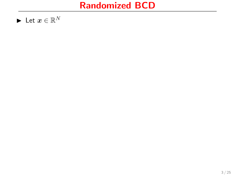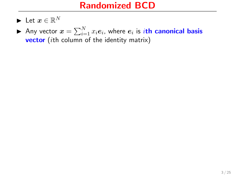- $\blacktriangleright$  Let  $x\in\mathbb{R}^N$
- $\blacktriangleright$  Any vector  $x = \sum_{i=1}^N x_i e_i$ , where  $e_i$  is  $i$ th canonical basis **vector** (*i*th column of the identity matrix)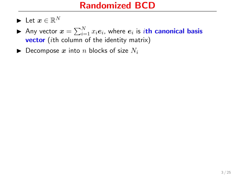- $\blacktriangleright$  Let  $x\in\mathbb{R}^N$
- $\blacktriangleright$  Any vector  $x = \sum_{i=1}^N x_i e_i$ , where  $e_i$  is  $i$ th canonical basis **vector** (*i*th column of the identity matrix)
- $\blacktriangleright$  Decompose x into n blocks of size  $N_i$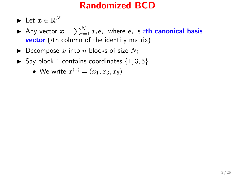- $\blacktriangleright$  Let  $x\in\mathbb{R}^N$
- $\blacktriangleright$  Any vector  $x = \sum_{i=1}^N x_i e_i$ , where  $e_i$  is  $i$ th canonical basis **vector** (*i*th column of the identity matrix)
- $\blacktriangleright$  Decompose x into n blocks of size  $N_i$
- $\blacktriangleright$  Say block 1 contains coordinates  $\{1,3,5\}.$ 
	- We write  $x^{(1)} = (x_1, x_3, x_5)$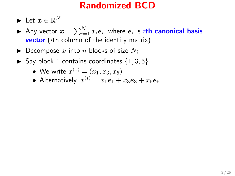- $\blacktriangleright$  Let  $x\in\mathbb{R}^N$
- $\blacktriangleright$  Any vector  $x = \sum_{i=1}^N x_i e_i$ , where  $e_i$  is  $i$ th canonical basis **vector** (*i*th column of the identity matrix)
- $\blacktriangleright$  Decompose x into n blocks of size  $N_i$
- $\blacktriangleright$  Say block 1 contains coordinates  $\{1, 3, 5\}.$ 
	- We write  $x^{(1)} = (x_1, x_3, x_5)$
	- Alternatively,  $x^{(i)} = x_1 \boldsymbol{e}_1 + x_3 \boldsymbol{e}_3 + x_5 \boldsymbol{e}_5$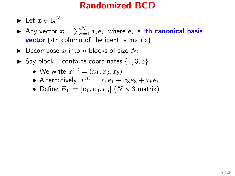- $\blacktriangleright$  Let  $x\in\mathbb{R}^N$
- $\blacktriangleright$  Any vector  $x = \sum_{i=1}^N x_i e_i$ , where  $e_i$  is  $i$ th canonical basis **vector** (*i*th column of the identity matrix)
- $\blacktriangleright$  Decompose x into n blocks of size  $N_i$
- $\blacktriangleright$  Say block 1 contains coordinates  $\{1, 3, 5\}.$ 
	- We write  $x^{(1)} = (x_1, x_3, x_5)$
	- Alternatively,  $x^{(i)} = x_1 \boldsymbol{e}_1 + x_3 \boldsymbol{e}_3 + x_5 \boldsymbol{e}_5$
	- Define  $E_1 := [\boldsymbol{e}_1, \boldsymbol{e}_3, \boldsymbol{e}_5]$   $(N \times 3$  matrix)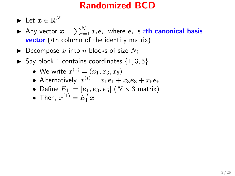- $\blacktriangleright$  Let  $x\in\mathbb{R}^N$
- $\blacktriangleright$  Any vector  $x = \sum_{i=1}^N x_i e_i$ , where  $e_i$  is  $i$ th canonical basis **vector** (*i*th column of the identity matrix)
- $\blacktriangleright$  Decompose x into n blocks of size  $N_i$
- $\blacktriangleright$  Say block 1 contains coordinates  $\{1,3,5\}$ .
	- We write  $x^{(1)} = (x_1, x_3, x_5)$
	- Alternatively,  $x^{(i)} = x_1 \boldsymbol{e}_1 + x_3 \boldsymbol{e}_3 + x_5 \boldsymbol{e}_5$
	- Define  $E_1 := [\boldsymbol{e}_1, \boldsymbol{e}_3, \boldsymbol{e}_5]$   $(N \times 3$  matrix)
	- Then,  $x^{(1)} = E_1^T x$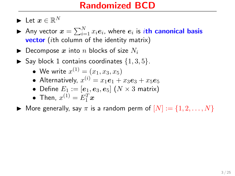- $\blacktriangleright$  Let  $x\in\mathbb{R}^N$
- $\blacktriangleright$  Any vector  $x = \sum_{i=1}^N x_i e_i$ , where  $e_i$  is  $i$ th canonical basis **vector** (*i*th column of the identity matrix)
- $\blacktriangleright$  Decompose x into n blocks of size  $N_i$
- $\blacktriangleright$  Say block 1 contains coordinates  $\{1, 3, 5\}.$ 
	- We write  $x^{(1)} = (x_1, x_3, x_5)$
	- Alternatively,  $x^{(i)} = x_1 \boldsymbol{e}_1 + x_3 \boldsymbol{e}_3 + x_5 \boldsymbol{e}_5$
	- Define  $E_1 := [\boldsymbol{e}_1, \boldsymbol{e}_3, \boldsymbol{e}_5]$   $(N \times 3$  matrix)
	- Then,  $x^{(1)} = E_1^T x$

 $\blacktriangleright$  More generally, say  $\pi$  is a random perm of  $[N] := \{1, 2, ..., N\}$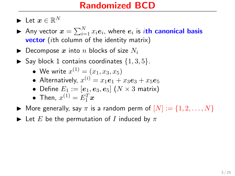- $\blacktriangleright$  Let  $x\in\mathbb{R}^N$
- $\blacktriangleright$  Any vector  $x = \sum_{i=1}^N x_i e_i$ , where  $e_i$  is  $i$ th canonical basis **vector** (*i*th column of the identity matrix)
- $\blacktriangleright$  Decompose x into n blocks of size  $N_i$
- $\blacktriangleright$  Say block 1 contains coordinates  $\{1,3,5\}$ .
	- We write  $x^{(1)} = (x_1, x_3, x_5)$
	- Alternatively,  $x^{(i)} = x_1 \boldsymbol{e}_1 + x_3 \boldsymbol{e}_3 + x_5 \boldsymbol{e}_5$
	- Define  $E_1 := [\boldsymbol{e}_1, \boldsymbol{e}_3, \boldsymbol{e}_5]$   $(N \times 3$  matrix)
	- Then,  $x^{(1)} = E_1^T x$
- $\blacktriangleright$  More generally, say  $\pi$  is a random perm of  $[N] := \{1, 2, ..., N\}$
- $\blacktriangleright$  Let E be the permutation of I induced by  $\pi$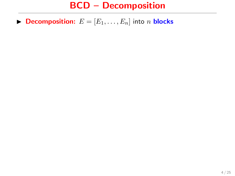$\blacktriangleright$  Decomposition:  $E = [E_1, \ldots, E_n]$  into n blocks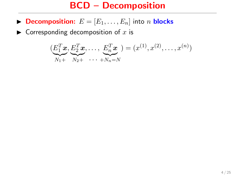- **Decomposition:**  $E = [E_1, \ldots, E_n]$  into *n* **blocks**
- $\blacktriangleright$  Corresponding decomposition of x is

$$
(\underbrace{E_1^T \mathbf{x}}_{N_1+}, \underbrace{E_2^T \mathbf{x}}_{N_2+}, \dots, \underbrace{E_n^T \mathbf{x}}_{N_n=N}) = (x^{(1)}, x^{(2)}, \dots, x^{(n)})
$$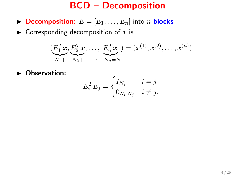- **Decomposition:**  $E = [E_1, \ldots, E_n]$  into *n* **blocks**
- $\blacktriangleright$  Corresponding decomposition of x is

$$
(\underbrace{E_1^T \mathbf{x}}_{N_1+}, \underbrace{E_2^T \mathbf{x}}_{N_2+}, \dots, \underbrace{E_n^T \mathbf{x}}_{N_n=N}) = (x^{(1)}, x^{(2)}, \dots, x^{(n)})
$$

• Observation:

$$
E_i^T E_j = \begin{cases} I_{N_i} & i = j \\ 0_{N_i, N_j} & i \neq j. \end{cases}
$$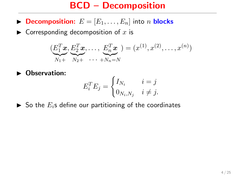- **Decomposition:**  $E = [E_1, \ldots, E_n]$  into *n* **blocks**
- $\blacktriangleright$  Corresponding decomposition of x is

$$
(\underbrace{E_1^T \mathbf{x}}_{N_1+}, \underbrace{E_2^T \mathbf{x}}_{N_2+}, \dots, \underbrace{E_n^T \mathbf{x}}_{N_n=N}) = (x^{(1)}, x^{(2)}, \dots, x^{(n)})
$$

 $\blacktriangleright$  Observation:

$$
E_i^T E_j = \begin{cases} I_{N_i} & i = j \\ 0_{N_i, N_j} & i \neq j. \end{cases}
$$

 $\triangleright$  So the  $E_i$ s define our partitioning of the coordinates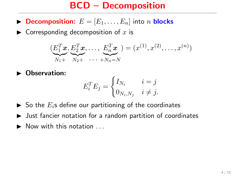- **Decomposition:**  $E = [E_1, \ldots, E_n]$  into *n* **blocks**
- $\triangleright$  Corresponding decomposition of x is

$$
(\underbrace{E_1^T \mathbf{x}}_{N_1+}, \underbrace{E_2^T \mathbf{x}}_{N_2+}, \dots, \underbrace{E_n^T \mathbf{x}}_{N_n=N}) = (x^{(1)}, x^{(2)}, \dots, x^{(n)})
$$

 $\blacktriangleright$  Observation:

$$
E_i^T E_j = \begin{cases} I_{N_i} & i = j \\ 0_{N_i, N_j} & i \neq j. \end{cases}
$$

- $\triangleright$  So the  $E_i$ s define our partitioning of the coordinates
- $\triangleright$  Just fancier notation for a random partition of coordinates
- $\blacktriangleright$  Now with this notation  $\ldots$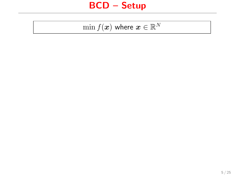$$
\min f(\boldsymbol{x}) \text{ where } \boldsymbol{x} \in \mathbb{R}^N
$$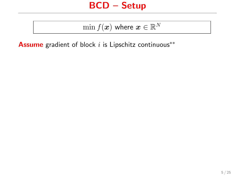$\min f(\boldsymbol{x})$  where  $\boldsymbol{x} \in \mathbb{R}^N$ 

**Assume** gradient of block  $i$  is Lipschitz continuous<sup>\*\*</sup>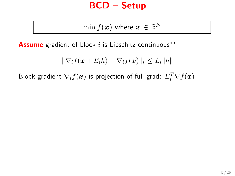$\min f(\boldsymbol{x})$  where  $\boldsymbol{x} \in \mathbb{R}^N$ 

**Assume** gradient of block  $i$  is Lipschitz continuous<sup>\*\*</sup>

$$
\|\nabla_i f(\boldsymbol{x} + E_i h) - \nabla_i f(\boldsymbol{x})\|_* \leq L_i \|h\|
$$

Block gradient  $\nabla_i f(\boldsymbol{x})$  is projection of full grad:  $E_i^T \nabla f(\boldsymbol{x})$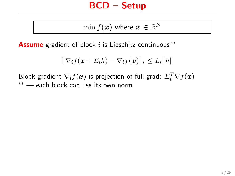$\min f(\boldsymbol{x})$  where  $\boldsymbol{x} \in \mathbb{R}^N$ 

**Assume** gradient of block  $i$  is Lipschitz continuous<sup>\*\*</sup>

$$
\|\nabla_i f(\boldsymbol{x} + E_i h) - \nabla_i f(\boldsymbol{x})\|_* \leq L_i \|h\|
$$

Block gradient  $\nabla_i f(\boldsymbol{x})$  is projection of full grad:  $E_i^T \nabla f(\boldsymbol{x})$ ∗∗ — each block can use its own norm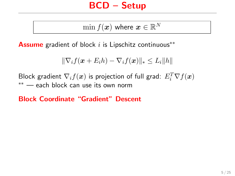$\min f(\boldsymbol{x})$  where  $\boldsymbol{x} \in \mathbb{R}^N$ 

Assume gradient of block  $i$  is Lipschitz continuous<sup>\*\*</sup>

$$
\|\nabla_i f(\boldsymbol{x} + E_i h) - \nabla_i f(\boldsymbol{x})\|_* \leq L_i \|h\|
$$

Block gradient  $\nabla_i f(\boldsymbol{x})$  is projection of full grad:  $E_i^T \nabla f(\boldsymbol{x})$ ∗∗ — each block can use its own norm

Block Coordinate "Gradient" Descent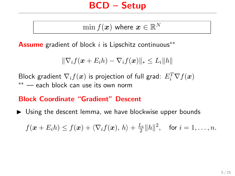$\min f(\boldsymbol{x})$  where  $\boldsymbol{x} \in \mathbb{R}^N$ 

Assume gradient of block  $i$  is Lipschitz continuous<sup>\*\*</sup>

$$
\|\nabla_i f(\boldsymbol{x} + E_i h) - \nabla_i f(\boldsymbol{x})\|_* \leq L_i \|h\|
$$

Block gradient  $\nabla_i f(\boldsymbol{x})$  is projection of full grad:  $E_i^T \nabla f(\boldsymbol{x})$ ∗∗ — each block can use its own norm

#### Block Coordinate "Gradient" Descent

 $\triangleright$  Using the descent lemma, we have blockwise upper bounds

 $f(\boldsymbol{x}+E_i h) \leq f(\boldsymbol{x}) + \langle \nabla_i f(\boldsymbol{x}), h \rangle + \frac{L_i}{2} ||h||^2$ , for  $i=1,\ldots,n$ .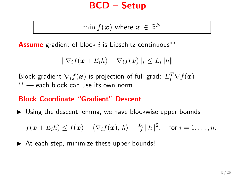$\min f(\boldsymbol{x})$  where  $\boldsymbol{x} \in \mathbb{R}^N$ 

Assume gradient of block  $i$  is Lipschitz continuous<sup>\*\*</sup>

$$
\|\nabla_i f(\boldsymbol{x} + E_i h) - \nabla_i f(\boldsymbol{x})\|_* \leq L_i \|h\|
$$

Block gradient  $\nabla_i f(\boldsymbol{x})$  is projection of full grad:  $E_i^T \nabla f(\boldsymbol{x})$ ∗∗ — each block can use its own norm

#### Block Coordinate "Gradient" Descent

 $\triangleright$  Using the descent lemma, we have blockwise upper bounds

 $f(\boldsymbol{x}+E_i h) \leq f(\boldsymbol{x}) + \langle \nabla_i f(\boldsymbol{x}), h \rangle + \frac{L_i}{2} ||h||^2$ , for  $i=1,\ldots,n$ .

 $\triangleright$  At each step, minimize these upper bounds!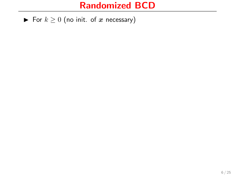For  $k \geq 0$  (no init. of x necessary)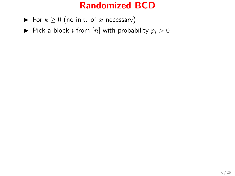- For  $k \geq 0$  (no init. of x necessary)
- $\blacktriangleright$  Pick a block i from [n] with probability  $p_i > 0$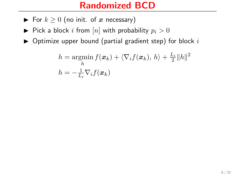- For  $k \geq 0$  (no init. of x necessary)
- $\blacktriangleright$  Pick a block i from [n] with probability  $p_i > 0$
- $\triangleright$  Optimize upper bound (partial gradient step) for block i

$$
h = \operatorname*{argmin}_{h} f(\boldsymbol{x}_k) + \langle \nabla_i f(\boldsymbol{x}_k), h \rangle + \frac{L_i}{2} ||h||^2
$$
  

$$
h = -\frac{1}{L_i} \nabla_i f(\boldsymbol{x}_k)
$$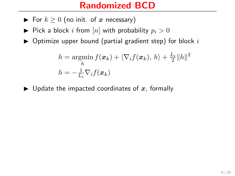- ► For  $k \geq 0$  (no init. of x necessary)
- $\blacktriangleright$  Pick a block i from [n] with probability  $p_i > 0$
- $\triangleright$  Optimize upper bound (partial gradient step) for block i

$$
h = \operatorname*{argmin}_{h} f(\boldsymbol{x}_k) + \langle \nabla_i f(\boldsymbol{x}_k), h \rangle + \frac{L_i}{2} ||h||^2
$$
  

$$
h = -\frac{1}{L_i} \nabla_i f(\boldsymbol{x}_k)
$$

 $\blacktriangleright$  Update the impacted coordinates of x, formally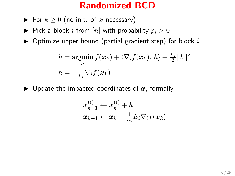- ► For  $k \geq 0$  (no init. of x necessary)
- $\blacktriangleright$  Pick a block i from [n] with probability  $p_i > 0$
- $\triangleright$  Optimize upper bound (partial gradient step) for block i

$$
h = \operatorname*{argmin}_{h} f(\boldsymbol{x}_k) + \langle \nabla_i f(\boldsymbol{x}_k), h \rangle + \frac{L_i}{2} ||h||^2
$$
  

$$
h = -\frac{1}{L_i} \nabla_i f(\boldsymbol{x}_k)
$$

 $\blacktriangleright$  Update the impacted coordinates of x, formally

$$
\begin{aligned} \boldsymbol{x}_{k+1}^{(i)} &\leftarrow \boldsymbol{x}_k^{(i)} + h \\ \boldsymbol{x}_{k+1} &\leftarrow \boldsymbol{x}_k - \frac{1}{L_i} E_i \nabla_i f(\boldsymbol{x}_k) \end{aligned}
$$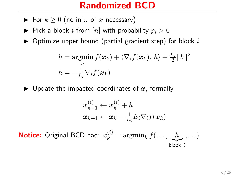- For  $k \geq 0$  (no init. of x necessary)
- $\blacktriangleright$  Pick a block i from [n] with probability  $p_i > 0$
- $\triangleright$  Optimize upper bound (partial gradient step) for block i

$$
h = \operatorname*{argmin}_{h} f(\boldsymbol{x}_k) + \langle \nabla_i f(\boldsymbol{x}_k), h \rangle + \frac{L_i}{2} ||h||^2
$$
  

$$
h = -\frac{1}{L_i} \nabla_i f(\boldsymbol{x}_k)
$$

 $\blacktriangleright$  Update the impacted coordinates of x, formally

$$
\begin{aligned} \boldsymbol{x}_{k+1}^{(i)} &\leftarrow \boldsymbol{x}_k^{(i)} + h \\ \boldsymbol{x}_{k+1} &\leftarrow \boldsymbol{x}_k - \frac{1}{L_i} E_i \nabla_i f(\boldsymbol{x}_k) \end{aligned}
$$

**Notice:** Original BCD had:  $x_k^{(i)} = \operatorname{argmin}_h f(\dots, \underbrace{h}_{\text{block }i}, \dots)$ block i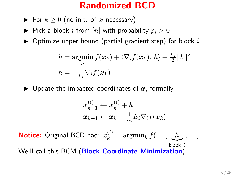- ► For  $k \geq 0$  (no init. of x necessary)
- $\blacktriangleright$  Pick a block i from [n] with probability  $p_i > 0$
- $\triangleright$  Optimize upper bound (partial gradient step) for block i

$$
h = \operatorname*{argmin}_{h} f(\boldsymbol{x}_k) + \langle \nabla_i f(\boldsymbol{x}_k), h \rangle + \frac{L_i}{2} ||h||^2
$$
  

$$
h = -\frac{1}{L_i} \nabla_i f(\boldsymbol{x}_k)
$$

 $\blacktriangleright$  Update the impacted coordinates of x, formally

$$
\begin{aligned} \boldsymbol{x}_{k+1}^{(i)} &\leftarrow \boldsymbol{x}_k^{(i)} + h \\ \boldsymbol{x}_{k+1} &\leftarrow \boldsymbol{x}_k - \frac{1}{L_i} E_i \nabla_i f(\boldsymbol{x}_k) \end{aligned}
$$

**Notice:** Original BCD had:  $x_k^{(i)} = \operatorname{argmin}_h f(\dots, \underbrace{h}_{\text{block }i}, \dots)$ block i We'll call this BCM (Block Coordinate Minimization)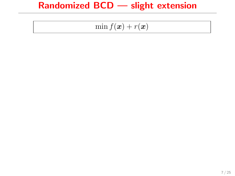# Randomized BCD — slight extension

$$
\min f(\boldsymbol{x}) + r(\boldsymbol{x})
$$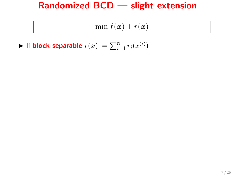# Randomized BCD — slight extension

$$
\min f(\boldsymbol{x}) + r(\boldsymbol{x})
$$

 $\blacktriangleright$  If block separable  $r(x) := \sum_{i=1}^n r_i(x^{(i)})$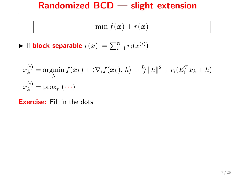# Randomized BCD — slight extension

$$
\min f(\boldsymbol{x}) + r(\boldsymbol{x})
$$

 $\blacktriangleright$  If block separable  $r(x) := \sum_{i=1}^n r_i(x^{(i)})$ 

$$
x_k^{(i)} = \operatorname*{argmin}_h f(\boldsymbol{x}_k) + \langle \nabla_i f(\boldsymbol{x}_k), h \rangle + \frac{L_i}{2} ||h||^2 + r_i (E_i^T \boldsymbol{x}_k + h)
$$
  

$$
x_k^{(i)} = \operatorname{prox}_{r_i}(\cdots)
$$

Exercise: Fill in the dots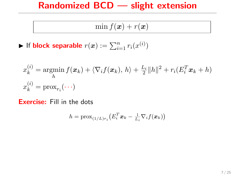## Randomized BCD — slight extension

$$
\min f(\boldsymbol{x}) + r(\boldsymbol{x})
$$

 $\blacktriangleright$  If block separable  $r(x) := \sum_{i=1}^n r_i(x^{(i)})$ 

$$
x_k^{(i)} = \operatorname*{argmin}_h f(\boldsymbol{x}_k) + \langle \nabla_i f(\boldsymbol{x}_k), h \rangle + \frac{L_i}{2} ||h||^2 + r_i (E_i^T \boldsymbol{x}_k + h)
$$
  

$$
x_k^{(i)} = \operatorname{prox}_{r_i}(\cdots)
$$

Exercise: Fill in the dots

$$
h = \text{prox}_{(1/L)r_i}\left(E_i^T \boldsymbol{x}_k - \frac{1}{L_i}\nabla_i f(\boldsymbol{x}_k)\right)
$$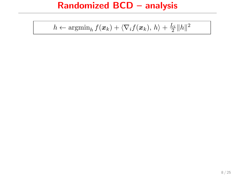$$
h \leftarrow \operatorname{argmin}_{h} f(\boldsymbol{x}_{k}) + \langle \nabla_i f(\boldsymbol{x}_{k}), h \rangle + \frac{L_i}{2} ||h||^2
$$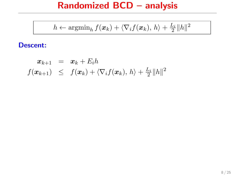$$
h \leftarrow \operatorname{argmin}_{h} f(\boldsymbol{x}_{k}) + \langle \nabla_{i} f(\boldsymbol{x}_{k}), h \rangle + \frac{L_{i}}{2} ||h||^{2}
$$

$$
\begin{array}{rcl} \boldsymbol{x}_{k+1} & = & \boldsymbol{x}_k + E_i h \\ f(\boldsymbol{x}_{k+1}) & \leq & f(\boldsymbol{x}_k) + \langle \nabla_i f(\boldsymbol{x}_k), \, h \rangle + \frac{L_i}{2} \|h\|^2 \end{array}
$$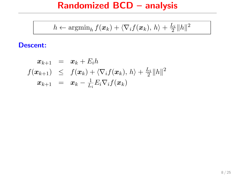$$
h \leftarrow \operatorname{argmin}_{h} f(\boldsymbol{x}_{k}) + \langle \nabla_{i} f(\boldsymbol{x}_{k}), h \rangle + \frac{L_{i}}{2} ||h||^{2}
$$

$$
\begin{array}{rcl}\n\boldsymbol{x}_{k+1} & = & \boldsymbol{x}_k + E_i h \\
f(\boldsymbol{x}_{k+1}) & \leq & f(\boldsymbol{x}_k) + \langle \nabla_i f(\boldsymbol{x}_k), h \rangle + \frac{L_i}{2} \|h\|^2 \\
\boldsymbol{x}_{k+1} & = & \boldsymbol{x}_k - \frac{1}{L_i} E_i \nabla_i f(\boldsymbol{x}_k)\n\end{array}
$$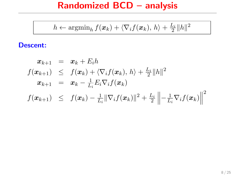$$
h \leftarrow \operatorname{argmin}_{h} f(\boldsymbol{x}_{k}) + \langle \nabla_{i} f(\boldsymbol{x}_{k}), h \rangle + \frac{L_{i}}{2} ||h||^{2}
$$

$$
\begin{array}{rcl}\n\boldsymbol{x}_{k+1} & = & \boldsymbol{x}_k + E_i h \\
f(\boldsymbol{x}_{k+1}) & \leq & f(\boldsymbol{x}_k) + \langle \nabla_i f(\boldsymbol{x}_k), h \rangle + \frac{L_i}{2} ||h||^2 \\
\boldsymbol{x}_{k+1} & = & \boldsymbol{x}_k - \frac{1}{L_i} E_i \nabla_i f(\boldsymbol{x}_k) \\
f(\boldsymbol{x}_{k+1}) & \leq & f(\boldsymbol{x}_k) - \frac{1}{L_i} ||\nabla_i f(\boldsymbol{x}_k)||^2 + \frac{L_i}{2} \left\| - \frac{1}{L_i} \nabla_i f(\boldsymbol{x}_k) \right\|^2\n\end{array}
$$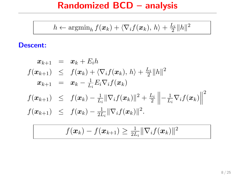$$
h \leftarrow \operatorname{argmin}_{h} f(\boldsymbol{x}_k) + \langle \nabla_i f(\boldsymbol{x}_k), h \rangle + \frac{L_i}{2} ||h||^2
$$

$$
x_{k+1} = x_k + E_i h
$$
  
\n
$$
f(x_{k+1}) \leq f(x_k) + \langle \nabla_i f(x_k), h \rangle + \frac{L_i}{2} ||h||^2
$$
  
\n
$$
x_{k+1} = x_k - \frac{1}{L_i} E_i \nabla_i f(x_k)
$$
  
\n
$$
f(x_{k+1}) \leq f(x_k) - \frac{1}{L_i} ||\nabla_i f(x_k)||^2 + \frac{L_i}{2} ||-\frac{1}{L_i} \nabla_i f(x_k)||^2
$$
  
\n
$$
f(x_{k+1}) \leq f(x_k) - \frac{1}{2L_i} ||\nabla_i f(x_k)||^2.
$$

$$
f(\boldsymbol{x}_k) - f(\boldsymbol{x}_{k+1}) \geq \tfrac{1}{2L_i}\|\nabla_i f(\boldsymbol{x}_k)\|^2
$$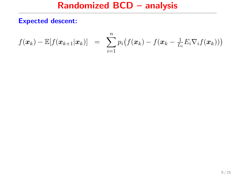$$
f(\boldsymbol{x}_k) - \mathbb{E}[f(\boldsymbol{x}_{k+1}|\boldsymbol{x}_k)] = \sum_{i=1}^n p_i \big(f(\boldsymbol{x}_k) - f(\boldsymbol{x}_k - \frac{1}{L_i}E_i\nabla_i f(\boldsymbol{x}_k))\big)
$$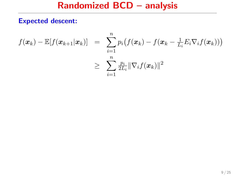$$
f(\boldsymbol{x}_k) - \mathbb{E}[f(\boldsymbol{x}_{k+1}|\boldsymbol{x}_k)] = \sum_{i=1}^n p_i (f(\boldsymbol{x}_k) - f(\boldsymbol{x}_k - \frac{1}{L_i} E_i \nabla_i f(\boldsymbol{x}_k)))
$$
  

$$
\geq \sum_{i=1}^n \frac{p_i}{2L_i} ||\nabla_i f(\boldsymbol{x}_k)||^2
$$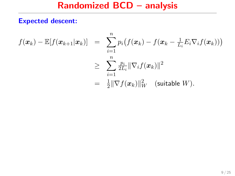$$
f(\boldsymbol{x}_k) - \mathbb{E}[f(\boldsymbol{x}_{k+1}|\boldsymbol{x}_k)] = \sum_{i=1}^n p_i (f(\boldsymbol{x}_k) - f(\boldsymbol{x}_k - \frac{1}{L_i} E_i \nabla_i f(\boldsymbol{x}_k)))
$$
  
\n
$$
\geq \sum_{i=1}^n \frac{p_i}{2L_i} ||\nabla_i f(\boldsymbol{x}_k)||^2
$$
  
\n
$$
= \frac{1}{2} ||\nabla f(\boldsymbol{x}_k)||_W^2 \quad \text{(suitable } W).
$$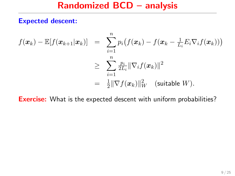$$
f(\boldsymbol{x}_k) - \mathbb{E}[f(\boldsymbol{x}_{k+1}|\boldsymbol{x}_k)] = \sum_{i=1}^n p_i (f(\boldsymbol{x}_k) - f(\boldsymbol{x}_k - \frac{1}{L_i} E_i \nabla_i f(\boldsymbol{x}_k)))
$$
  
\n
$$
\geq \sum_{i=1}^n \frac{p_i}{2L_i} ||\nabla_i f(\boldsymbol{x}_k)||^2
$$
  
\n
$$
= \frac{1}{2} ||\nabla f(\boldsymbol{x}_k)||_W^2 \quad \text{(suitable } W).
$$

Exercise: What is the expected descent with uniform probabilities?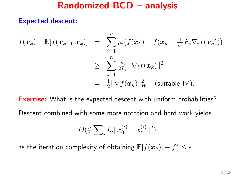$$
f(\boldsymbol{x}_k) - \mathbb{E}[f(\boldsymbol{x}_{k+1}|\boldsymbol{x}_k)] = \sum_{i=1}^n p_i (f(\boldsymbol{x}_k) - f(\boldsymbol{x}_k - \frac{1}{L_i} E_i \nabla_i f(\boldsymbol{x}_k)))
$$
  
\n
$$
\geq \sum_{i=1}^n \frac{p_i}{2L_i} \|\nabla_i f(\boldsymbol{x}_k)\|^2
$$
  
\n
$$
= \frac{1}{2} \|\nabla f(\boldsymbol{x}_k)\|_W^2 \quad \text{(suitable } W).
$$

**Exercise:** What is the expected descent with uniform probabilities?

Descent combined with some more notation and hard work yields

$$
O(\tfrac{n}{\epsilon} \sum_{i} L_i \|x_0^{(i)} - x_*^{(i)}\|^2)
$$

as the iteration complexity of obtaining  $\mathbb{E}[f(\boldsymbol{x}_k)] - f^* \leq \epsilon$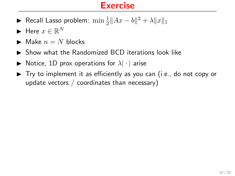## **Exercise**

- ► Recall Lasso problem:  $\min \frac{1}{2} ||Ax b||^2 + \lambda ||x||_1$
- $\blacktriangleright$  Here  $x \in \mathbb{R}^N$
- $\blacktriangleright$  Make  $n = N$  blocks
- $\triangleright$  Show what the Randomized BCD iterations look like
- $\blacktriangleright$  Notice, 1D prox operations for  $\lambda|\cdot|$  arise
- $\blacktriangleright$  Try to implement it as efficiently as you can (i.e., do not copy or update vectors / coordinates than necessary)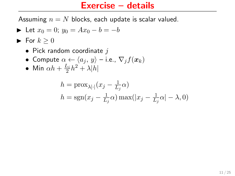## Exercise – details

Assuming  $n = N$  blocks, each update is scalar valued.

- $\triangleright$  Let  $x_0 = 0$ ;  $y_0 = Ax_0 b = -b$
- $\blacktriangleright$  For  $k \geq 0$ 
	- Pick random coordinate  $i$
	- Compute  $\alpha \leftarrow \langle a_j, y \rangle$  i.e.,  $\nabla_i f(\boldsymbol{x}_k)$
	- Min  $\alpha h + \frac{L_i}{2}h^2 + \lambda |h|$

$$
h = \text{prox}_{\lambda|\cdot|}(x_j - \frac{1}{L_j}\alpha)
$$
  

$$
h = \text{sgn}(x_j - \frac{1}{L_j}\alpha)\max(|x_j - \frac{1}{L_j}\alpha| - \lambda, 0)
$$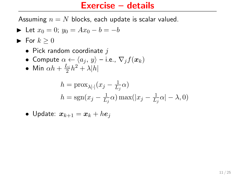## Exercise – details

Assuming  $n = N$  blocks, each update is scalar valued.

- $\triangleright$  Let  $x_0 = 0$ ;  $y_0 = Ax_0 b = -b$
- $\blacktriangleright$  For  $k \geq 0$ 
	- Pick random coordinate  $i$
	- Compute  $\alpha \leftarrow \langle a_j, y \rangle$  i.e.,  $\nabla_i f(\boldsymbol{x}_k)$
	- Min  $\alpha h + \frac{L_i}{2}h^2 + \lambda |h|$

$$
h = \text{prox}_{\lambda|\cdot|}(x_j - \frac{1}{L_j}\alpha)
$$
  

$$
h = \text{sgn}(x_j - \frac{1}{L_j}\alpha)\max(|x_j - \frac{1}{L_j}\alpha| - \lambda, 0)
$$

\n- Update: 
$$
x_{k+1} = x_k + he_j
$$
\n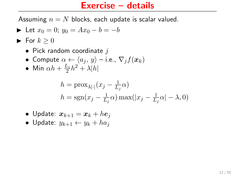## Exercise – details

Assuming  $n = N$  blocks, each update is scalar valued.

- $\triangleright$  Let  $x_0 = 0$ ;  $y_0 = Ax_0 b = -b$
- $\blacktriangleright$  For  $k \geq 0$ 
	- Pick random coordinate  $i$
	- Compute  $\alpha \leftarrow \langle a_i, y \rangle$  i.e.,  $\nabla_i f(\boldsymbol{x}_k)$
	- Min  $\alpha h + \frac{L_i}{2}h^2 + \lambda |h|$

$$
h = \text{prox}_{\lambda|\cdot|}(x_j - \frac{1}{L_j}\alpha)
$$
  

$$
h = \text{sgn}(x_j - \frac{1}{L_j}\alpha)\max(|x_j - \frac{1}{L_j}\alpha| - \lambda, 0)
$$

- Update:  $x_{k+1} = x_k + he_i$
- Update:  $y_{k+1} \leftarrow y_k + ha_i$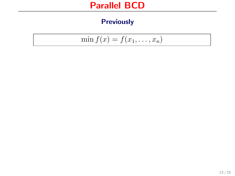$$
\min f(x) = f(x_1, \ldots, x_n)
$$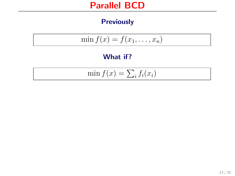$$
\min f(x) = f(x_1, \ldots, x_n)
$$

#### What if?

$$
\min f(x) = \sum_i f_i(x_i)
$$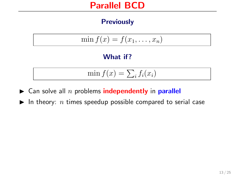$$
\min f(x) = f(x_1, \ldots, x_n)
$$

#### What if?

$$
\min f(x) = \sum_i f_i(x_i)
$$

- $\blacktriangleright$  Can solve all n problems **independently** in **parallel**
- In theory: *n* times speedup possible compared to serial case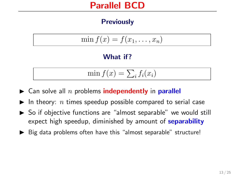$$
\min f(x) = f(x_1, \ldots, x_n)
$$

#### What if?

$$
\min f(x) = \sum_i f_i(x_i)
$$

- $\blacktriangleright$  Can solve all n problems **independently** in **parallel**
- In theory:  $n$  times speedup possible compared to serial case
- $\triangleright$  So if objective functions are "almost separable" we would still expect high speedup, diminished by amount of **separability**
- $\triangleright$  Big data problems often have this "almost separable" structure!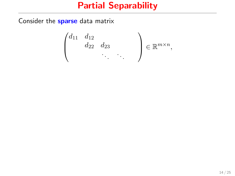Consider the **sparse** data matrix

$$
\begin{pmatrix} d_{11} & d_{12} & & \\ & d_{22} & d_{23} & \\ & & \ddots & \ddots \end{pmatrix} \in \mathbb{R}^{m \times n},
$$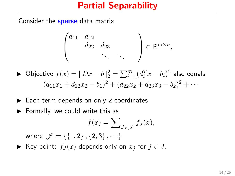Consider the **sparse** data matrix

$$
\begin{pmatrix} d_{11} & d_{12} & & \\ & d_{22} & d_{23} & \\ & & \ddots & \ddots \end{pmatrix} \in \mathbb{R}^{m \times n},
$$

- ► Objective  $f(x) = ||Dx b||_2^2 = \sum_{i=1}^m (d_i^T x b_i)^2$  also equals  $(d_{11}x_1 + d_{12}x_2 - b_1)^2 + (d_{22}x_2 + d_{23}x_3 - b_2)^2 + \cdots$
- $\blacktriangleright$  Each term depends on only 2 coordinates
- $\blacktriangleright$  Formally, we could write this as

$$
f(x) = \sum_{J \in \mathscr{J}} f_J(x),
$$

where  $\mathcal{J} = \{\{1,2\},\{2,3\},\cdots\}$ 

► Key point:  $f_J(x)$  depends only on  $x_j$  for  $j \in J$ .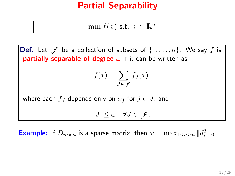$$
\min f(x) \text{ s.t. } x \in \mathbb{R}^n
$$

**Def.** Let  $\mathscr{J}$  be a collection of subsets of  $\{1, \ldots, n\}$ . We say f is **partially separable of degree**  $\omega$  if it can be written as  $f(x) = \sum$ J∈J  $f_J(x),$ where each  $f_J$  depends only on  $x_j$  for  $j \in J$ , and  $|J| \leq \omega \quad \forall J \in \mathscr{J}.$ 

**Example:** If  $D_{m \times n}$  is a sparse matrix, then  $\omega = \max_{1 \leq i \leq m} ||d_i^T||_0$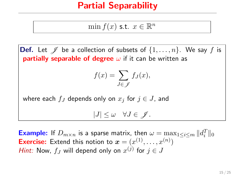$$
\min f(x) \text{ s.t. } x \in \mathbb{R}^n
$$

**Def.** Let  $\mathscr{J}$  be a collection of subsets of  $\{1, \ldots, n\}$ . We say f is **partially separable of degree**  $\omega$  if it can be written as  $f(x) = \sum$ J∈J  $f_J(x),$ where each  $f_J$  depends only on  $x_j$  for  $j \in J$ , and

 $|J| \leq \omega \quad \forall J \in \mathscr{J}.$ 

**Example:** If  $D_{m \times n}$  is a sparse matrix, then  $\omega = \max_{1 \leq i \leq m} ||d_i^T||_0$ **Exercise:** Extend this notion to  $\boldsymbol{x} = (x^{(1)}, \dots, x^{(n)})$ *Hint:* Now,  $f_J$  will depend only on  $x^{(j)}$  for  $j \in J$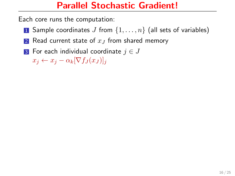Each core runs the computation:

- 1 Sample coordinates J from  $\{1, \ldots, n\}$  (all sets of variables)
- 2 Read current state of  $x_J$  from shared memory
- **3** For each individual coordinate  $j \in J$

 $x_j \leftarrow x_j - \alpha_k [\nabla f_J(x_J)]_j$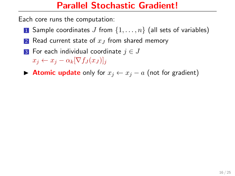Each core runs the computation:

- 1 Sample coordinates J from  $\{1, \ldots, n\}$  (all sets of variables)
- 2 Read current state of  $x_J$  from shared memory
- **3** For each individual coordinate  $j \in J$

 $x_i \leftarrow x_i - \alpha_k [\nabla f_J(x_J)]_i$ 

► Atomic update only for  $x_j \leftarrow x_j - a$  (not for gradient)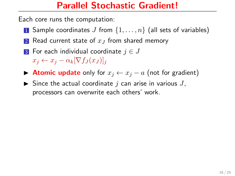Each core runs the computation:

- 1 Sample coordinates J from  $\{1, \ldots, n\}$  (all sets of variables)
- 2 Read current state of  $x_J$  from shared memory
- **3** For each individual coordinate  $j \in J$  $x_i \leftarrow x_i - \alpha_k [\nabla f_J(x_J)]_i$
- ► Atomic update only for  $x_j \leftarrow x_j a$  (not for gradient)
- $\blacktriangleright$  Since the actual coordinate j can arise in various J, processors can overwrite each others' work.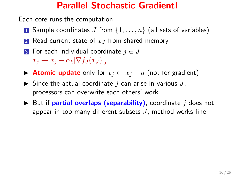Each core runs the computation:

- 1 Sample coordinates J from  $\{1, \ldots, n\}$  (all sets of variables)
- 2 Read current state of  $x_J$  from shared memory
- **3** For each individual coordinate  $j \in J$  $x_i \leftarrow x_i - \alpha_k [\nabla f_J(x_J)]_i$
- ► Atomic update only for  $x_j \leftarrow x_j a$  (not for gradient)
- $\triangleright$  Since the actual coordinate j can arise in various J, processors can overwrite each others' work.
- $\triangleright$  But if **partial overlaps (separability)**, coordinate j does not appear in too many different subsets  $J$ , method works fine!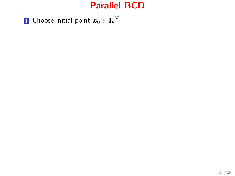${\bf 1}$  Choose initial point  $x_0\in\mathbb{R}^N$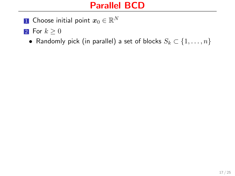${\bf 1}$  Choose initial point  $x_0\in\mathbb{R}^N$ 

2 For  $k \geq 0$ 

• Randomly pick (in parallel) a set of blocks  $S_k \subset \{1, \ldots, n\}$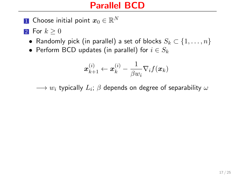${\bf 1}$  Choose initial point  $x_0\in\mathbb{R}^N$ 

2 For  $k \geq 0$ 

- Randomly pick (in parallel) a set of blocks  $S_k \subset \{1, \ldots, n\}$
- Perform BCD updates (in parallel) for  $i \in S_k$

$$
\boldsymbol{x}_{k+1}^{(i)} \leftarrow \boldsymbol{x}_k^{(i)} - \frac{1}{\beta w_i} \nabla_i f(\boldsymbol{x}_k)
$$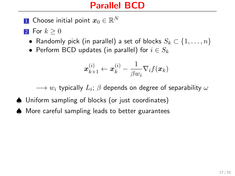${\bf 1}$  Choose initial point  $x_0\in\mathbb{R}^N$ 

2 For  $k \geq 0$ 

- Randomly pick (in parallel) a set of blocks  $S_k \subset \{1, \ldots, n\}$
- Perform BCD updates (in parallel) for  $i \in S_k$

$$
\boldsymbol{x}_{k+1}^{(i)} \leftarrow \boldsymbol{x}_k^{(i)} - \frac{1}{\beta w_i} \nabla_i f(\boldsymbol{x}_k)
$$

- ♠ Uniform sampling of blocks (or just coordinates)
- ♠ More careful sampling leads to better guarantees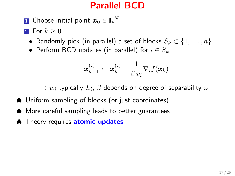${\bf 1}$  Choose initial point  $x_0\in\mathbb{R}^N$ 

2 For  $k \geq 0$ 

- Randomly pick (in parallel) a set of blocks  $S_k \subset \{1, \ldots, n\}$
- Perform BCD updates (in parallel) for  $i \in S_k$

$$
\boldsymbol{x}_{k+1}^{(i)} \leftarrow \boldsymbol{x}_k^{(i)} - \frac{1}{\beta w_i} \nabla_i f(\boldsymbol{x}_k)
$$

- ♠ Uniform sampling of blocks (or just coordinates)
- ♠ More careful sampling leads to better guarantees
- ♦ Theory requires atomic updates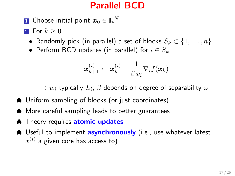${\bf 1}$  Choose initial point  $x_0\in\mathbb{R}^N$ 

2 For  $k \geq 0$ 

- Randomly pick (in parallel) a set of blocks  $S_k \subset \{1, \ldots, n\}$
- Perform BCD updates (in parallel) for  $i \in S_k$

$$
\boldsymbol{x}_{k+1}^{(i)} \leftarrow \boldsymbol{x}_k^{(i)} - \frac{1}{\beta w_i} \nabla_i f(\boldsymbol{x}_k)
$$

- ♠ Uniform sampling of blocks (or just coordinates)
- ♠ More careful sampling leads to better guarantees
- ♦ Theory requires atomic updates
- ♦ Useful to implement asynchronously (i.e., use whatever latest  $x^{\left(i\right)}$  a given core has access to)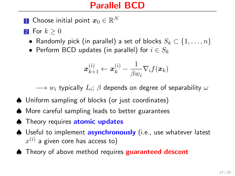- ${\bf 1}$  Choose initial point  $x_0\in\mathbb{R}^N$
- 2 For  $k \geq 0$ 
	- Randomly pick (in parallel) a set of blocks  $S_k \subset \{1, \ldots, n\}$
	- Perform BCD updates (in parallel) for  $i \in S_k$

$$
\boldsymbol{x}_{k+1}^{(i)} \leftarrow \boldsymbol{x}_k^{(i)} - \frac{1}{\beta w_i} \nabla_i f(\boldsymbol{x}_k)
$$

- ♠ Uniform sampling of blocks (or just coordinates)
- ♠ More careful sampling leads to better guarantees
- ♦ Theory requires atomic updates
- ♦ Useful to implement asynchronously (i.e., use whatever latest  $x^{\left(i\right)}$  a given core has access to)
- ♦ Theory of above method requires **guaranteed descent**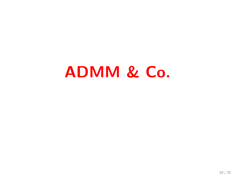# ADMM & Co.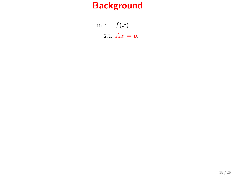min  $f(x)$ s.t.  $Ax = b$ .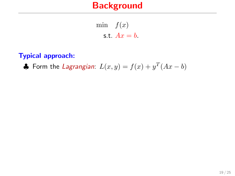min  $f(x)$ s.t.  $Ax = b$ .

#### Typical approach:

♣ Form the *Lagrangian*:  $L(x,y) = f(x) + y^T(Ax - b)$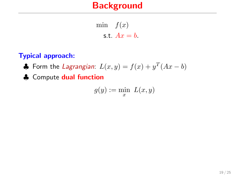min  $f(x)$ s.t.  $Ax = b$ .

### Typical approach:

♣ Form the *Lagrangian*:  $L(x,y) = f(x) + y^T(Ax - b)$ 

♣ Compute dual function

$$
g(y) := \min_{x} \ L(x, y)
$$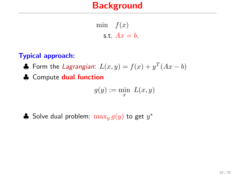min  $f(x)$ s.t.  $Ax = b$ .

### Typical approach:

♣ Form the *Lagrangian*:  $L(x,y) = f(x) + y^T(Ax - b)$ 

♣ Compute dual function

$$
g(y) := \min_{x} \ L(x, y)
$$

♣ Solve dual problem:  $\max_y g(y)$  to get  $y^*$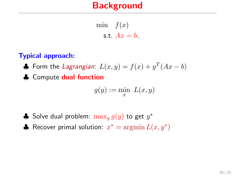min  $f(x)$ s.t.  $Ax = b$ .

### Typical approach:

♣ Form the *Lagrangian*:  $L(x,y) = f(x) + y^T(Ax - b)$ 

♣ Compute dual function

$$
g(y) := \min_{x} \ L(x, y)
$$

- ♣ Solve dual problem:  $\max_y g(y)$  to get  $y^*$
- ♦ Recover primal solution:  $x^* = \operatorname{argmin} L(x, y^*)$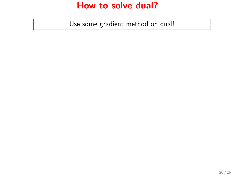Use some gradient method on dual!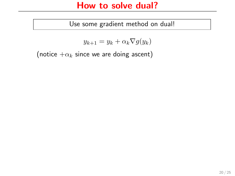### How to solve dual?

Use some gradient method on dual!

$$
y_{k+1} = y_k + \alpha_k \nabla g(y_k)
$$

(notice  $+\alpha_k$  since we are doing ascent)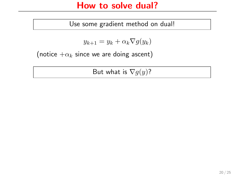### How to solve dual?

Use some gradient method on dual!

$$
y_{k+1} = y_k + \alpha_k \nabla g(y_k)
$$

(notice  $+\alpha_k$  since we are doing ascent)

But what is  $\nabla g(y)$ ?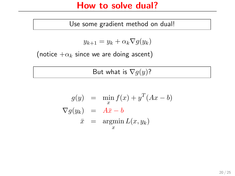### How to solve dual?

Use some gradient method on dual!

$$
y_{k+1} = y_k + \alpha_k \nabla g(y_k)
$$

(notice  $+\alpha_k$  since we are doing ascent)

But what is  $\nabla g(y)$ ?

$$
g(y) = \min_{x} f(x) + y^{T} (Ax - b)
$$
  
\n
$$
\nabla g(y_k) = A\overline{x} - b
$$
  
\n
$$
\overline{x} = \operatorname{argmin}_{x} L(x, y_k)
$$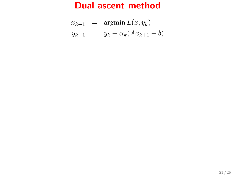## Dual ascent method

$$
x_{k+1} = \operatorname{argmin} L(x, y_k)
$$
  

$$
y_{k+1} = y_k + \alpha_k (Ax_{k+1} - b)
$$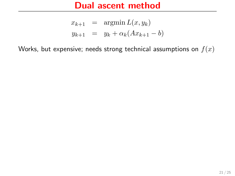## Dual ascent method

$$
x_{k+1} = \operatorname{argmin} L(x, y_k)
$$
  

$$
y_{k+1} = y_k + \alpha_k (Ax_{k+1} - b)
$$

Works, but expensive; needs strong technical assumptions on  $f(x)$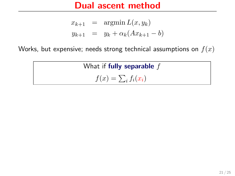## Dual ascent method

$$
x_{k+1} = \operatorname{argmin} L(x, y_k)
$$
  

$$
y_{k+1} = y_k + \alpha_k (Ax_{k+1} - b)
$$

Works, but expensive; needs strong technical assumptions on  $f(x)$ 

What if fully separable  $f$  $f(x) = \sum_i f_i(x_i)$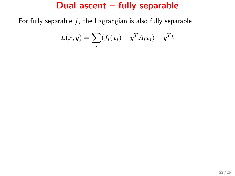## Dual ascent – fully separable

For fully separable  $f$ , the Lagrangian is also fully separable

$$
L(x,y) = \sum_{i} (f_i(x_i) + y^T A_i x_i) - y^T b
$$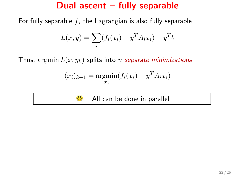## Dual ascent – fully separable

For fully separable  $f$ , the Lagrangian is also fully separable

$$
L(x, y) = \sum_{i} (f_i(x_i) + y^T A_i x_i) - y^T b
$$

Thus,  $\operatorname{argmin} L(x, y_k)$  splits into *n* separate minimizations

$$
(x_i)_{k+1} = \underset{x_i}{\text{argmin}}(f_i(x_i) + y^T A_i x_i)
$$

 $\ddot{\cdot}$ All can be done in parallel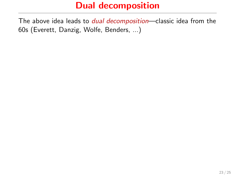The above idea leads to *dual decomposition*—classic idea from the 60s (Everett, Danzig, Wolfe, Benders, ...)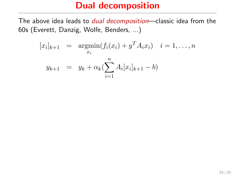The above idea leads to *dual decomposition*—classic idea from the 60s (Everett, Danzig, Wolfe, Benders, ...)

$$
[x_i]_{k+1} = \underset{x_i}{\text{argmin}} (f_i(x_i) + y^T A_i x_i) \quad i = 1, ..., n
$$
  

$$
y_{k+1} = y_k + \alpha_k (\sum_{i=1}^n A_i [x_i]_{k+1} - b)
$$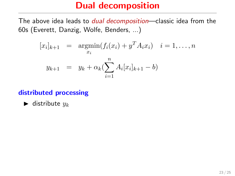The above idea leads to *dual decomposition*—classic idea from the 60s (Everett, Danzig, Wolfe, Benders, ...)

$$
[x_i]_{k+1} = \underset{x_i}{\text{argmin}} (f_i(x_i) + y^T A_i x_i) \quad i = 1, ..., n
$$

$$
y_{k+1} = y_k + \alpha_k (\sum_{i=1}^n A_i [x_i]_{k+1} - b)
$$

### distributed processing

 $\blacktriangleright$  distribute  $y_k$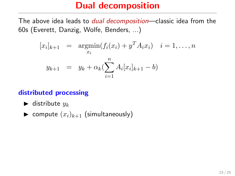The above idea leads to *dual decomposition*—classic idea from the 60s (Everett, Danzig, Wolfe, Benders, ...)

$$
[x_i]_{k+1} = \underset{x_i}{\text{argmin}} (f_i(x_i) + y^T A_i x_i) \quad i = 1, ..., n
$$

$$
y_{k+1} = y_k + \alpha_k (\sum_{i=1}^n A_i [x_i]_{k+1} - b)
$$

### distributed processing

- $\blacktriangleright$  distribute  $y_k$
- $\blacktriangleright$  compute  $(x_i)_{k+1}$  (simultaneously)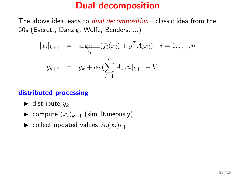The above idea leads to *dual decomposition*—classic idea from the 60s (Everett, Danzig, Wolfe, Benders, ...)

$$
[x_i]_{k+1} = \underset{x_i}{\text{argmin}} (f_i(x_i) + y^T A_i x_i) \quad i = 1, ..., n
$$

$$
y_{k+1} = y_k + \alpha_k (\sum_{i=1}^n A_i [x_i]_{k+1} - b)
$$

### distributed processing

- $\blacktriangleright$  distribute  $y_k$
- $\blacktriangleright$  compute  $(x_i)_{k+1}$  (simultaneously)
- ightharpoonup collect updated values  $A_i(x_i)_{k+1}$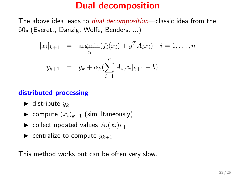The above idea leads to *dual decomposition*—classic idea from the 60s (Everett, Danzig, Wolfe, Benders, ...)

$$
[x_i]_{k+1} = \underset{x_i}{\text{argmin}} (f_i(x_i) + y^T A_i x_i) \quad i = 1, ..., n
$$

$$
y_{k+1} = y_k + \alpha_k (\sum_{i=1}^n A_i [x_i]_{k+1} - b)
$$

### distributed processing

- $\blacktriangleright$  distribute  $y_k$
- $\blacktriangleright$  compute  $(x_i)_{k+1}$  (simultaneously)
- ightharpoonup collect updated values  $A_i(x_i)_{k+1}$
- $\blacktriangleright$  centralize to compute  $y_{k+1}$

This method works but can be often very slow.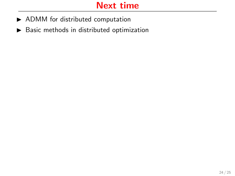# Next time

- $\blacktriangleright$  ADMM for distributed computation
- $\blacktriangleright$  Basic methods in distributed optimization